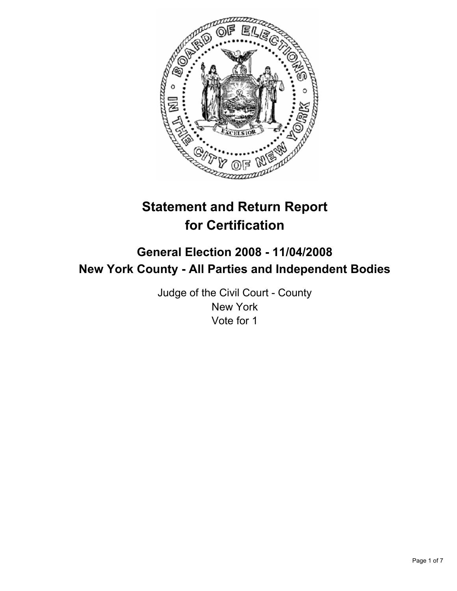

# **Statement and Return Report for Certification**

## **General Election 2008 - 11/04/2008 New York County - All Parties and Independent Bodies**

Judge of the Civil Court - County New York Vote for 1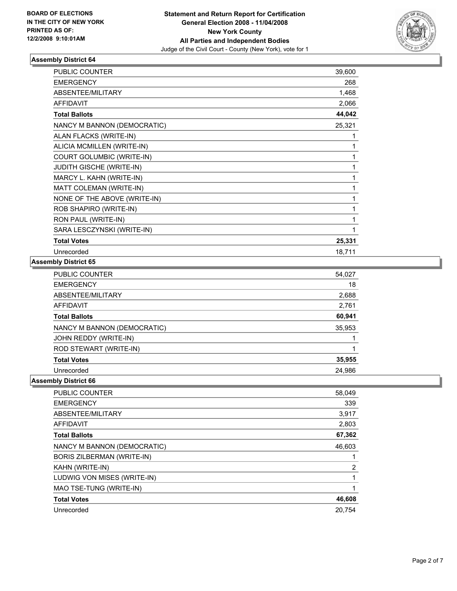

| PUBLIC COUNTER                  | 39,600 |
|---------------------------------|--------|
| <b>EMERGENCY</b>                | 268    |
| ABSENTEE/MILITARY               | 1,468  |
| <b>AFFIDAVIT</b>                | 2,066  |
| <b>Total Ballots</b>            | 44,042 |
| NANCY M BANNON (DEMOCRATIC)     | 25,321 |
| ALAN FLACKS (WRITE-IN)          |        |
| ALICIA MCMILLEN (WRITE-IN)      |        |
| COURT GOLUMBIC (WRITE-IN)       |        |
| <b>JUDITH GISCHE (WRITE-IN)</b> |        |
| MARCY L. KAHN (WRITE-IN)        |        |
| MATT COLEMAN (WRITE-IN)         |        |
| NONE OF THE ABOVE (WRITE-IN)    |        |
| ROB SHAPIRO (WRITE-IN)          |        |
| RON PAUL (WRITE-IN)             |        |
| SARA LESCZYNSKI (WRITE-IN)      |        |
| <b>Total Votes</b>              | 25,331 |
| Unrecorded                      | 18,711 |

#### **Assembly District 65**

| <b>PUBLIC COUNTER</b>       | 54,027 |  |
|-----------------------------|--------|--|
| <b>EMERGENCY</b>            | 18     |  |
| ABSENTEE/MILITARY           | 2,688  |  |
| AFFIDAVIT                   | 2,761  |  |
| <b>Total Ballots</b>        | 60,941 |  |
| NANCY M BANNON (DEMOCRATIC) | 35,953 |  |
| JOHN REDDY (WRITE-IN)       |        |  |
| ROD STEWART (WRITE-IN)      |        |  |
| <b>Total Votes</b>          | 35,955 |  |
| Unrecorded                  | 24,986 |  |

| <b>PUBLIC COUNTER</b>             | 58,049 |
|-----------------------------------|--------|
| <b>EMERGENCY</b>                  | 339    |
| ABSENTEE/MILITARY                 | 3,917  |
| <b>AFFIDAVIT</b>                  | 2,803  |
| <b>Total Ballots</b>              | 67,362 |
| NANCY M BANNON (DEMOCRATIC)       | 46,603 |
| <b>BORIS ZILBERMAN (WRITE-IN)</b> |        |
| KAHN (WRITE-IN)                   | 2      |
| LUDWIG VON MISES (WRITE-IN)       |        |
| MAO TSE-TUNG (WRITE-IN)           |        |
| <b>Total Votes</b>                | 46,608 |
| Unrecorded                        | 20,754 |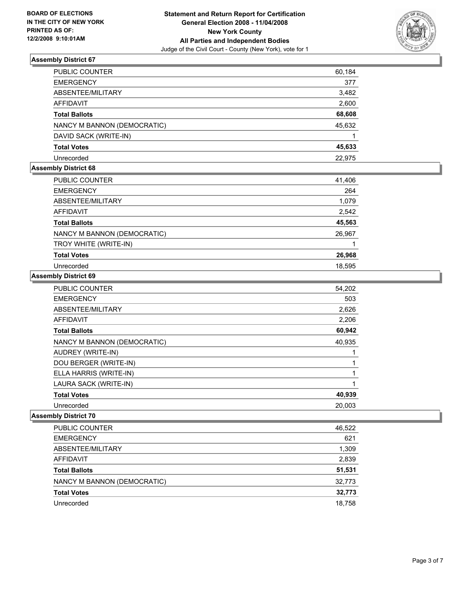

| PUBLIC COUNTER              | 60,184 |
|-----------------------------|--------|
| <b>EMERGENCY</b>            | 377    |
| ABSENTEE/MILITARY           | 3,482  |
| AFFIDAVIT                   | 2,600  |
| <b>Total Ballots</b>        | 68,608 |
| NANCY M BANNON (DEMOCRATIC) | 45,632 |
| DAVID SACK (WRITE-IN)       |        |
| <b>Total Votes</b>          | 45,633 |
| Unrecorded                  | 22.975 |

## **Assembly District 68**

| PUBLIC COUNTER              | 41,406 |
|-----------------------------|--------|
| <b>EMERGENCY</b>            | 264    |
| ABSENTEE/MILITARY           | 1,079  |
| AFFIDAVIT                   | 2,542  |
| <b>Total Ballots</b>        | 45,563 |
| NANCY M BANNON (DEMOCRATIC) | 26,967 |
| TROY WHITE (WRITE-IN)       |        |
| <b>Total Votes</b>          | 26,968 |
| Unrecorded                  | 18,595 |

#### **Assembly District 69**

| 54,202 |
|--------|
| 503    |
| 2,626  |
| 2,206  |
| 60,942 |
| 40,935 |
|        |
|        |
|        |
|        |
| 40,939 |
| 20,003 |
|        |

| <b>PUBLIC COUNTER</b>       | 46,522 |
|-----------------------------|--------|
| <b>EMERGENCY</b>            | 621    |
| ABSENTEE/MILITARY           | 1,309  |
| AFFIDAVIT                   | 2,839  |
| <b>Total Ballots</b>        | 51,531 |
| NANCY M BANNON (DEMOCRATIC) | 32,773 |
| <b>Total Votes</b>          | 32,773 |
| Unrecorded                  | 18,758 |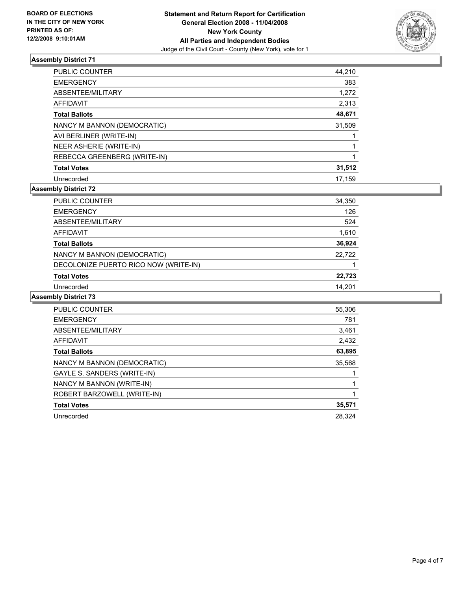

| <b>PUBLIC COUNTER</b>        | 44,210 |
|------------------------------|--------|
| <b>EMERGENCY</b>             | 383    |
| ABSENTEE/MILITARY            | 1,272  |
| AFFIDAVIT                    | 2,313  |
| <b>Total Ballots</b>         | 48,671 |
| NANCY M BANNON (DEMOCRATIC)  | 31,509 |
| AVI BERLINER (WRITE-IN)      |        |
| NEER ASHERIE (WRITE-IN)      |        |
| REBECCA GREENBERG (WRITE-IN) |        |
| <b>Total Votes</b>           | 31,512 |
| Unrecorded                   | 17,159 |

## **Assembly District 72**

| <b>PUBLIC COUNTER</b>                 | 34,350 |
|---------------------------------------|--------|
| <b>EMERGENCY</b>                      | 126    |
| ABSENTEE/MILITARY                     | 524    |
| <b>AFFIDAVIT</b>                      | 1,610  |
| <b>Total Ballots</b>                  | 36,924 |
| NANCY M BANNON (DEMOCRATIC)           | 22,722 |
| DECOLONIZE PUERTO RICO NOW (WRITE-IN) |        |
| <b>Total Votes</b>                    | 22,723 |
| Unrecorded                            | 14,201 |

| <b>PUBLIC COUNTER</b>       | 55,306 |
|-----------------------------|--------|
| <b>EMERGENCY</b>            | 781    |
| ABSENTEE/MILITARY           | 3,461  |
| AFFIDAVIT                   | 2,432  |
| <b>Total Ballots</b>        | 63,895 |
| NANCY M BANNON (DEMOCRATIC) | 35,568 |
| GAYLE S. SANDERS (WRITE-IN) |        |
| NANCY M BANNON (WRITE-IN)   |        |
| ROBERT BARZOWELL (WRITE-IN) |        |
| <b>Total Votes</b>          | 35,571 |
| Unrecorded                  | 28,324 |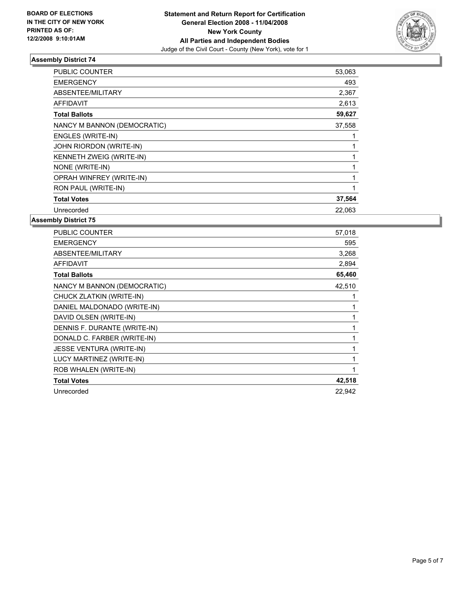

| PUBLIC COUNTER              | 53,063 |
|-----------------------------|--------|
| <b>EMERGENCY</b>            | 493    |
| ABSENTEE/MILITARY           | 2,367  |
| <b>AFFIDAVIT</b>            | 2,613  |
| <b>Total Ballots</b>        | 59,627 |
| NANCY M BANNON (DEMOCRATIC) | 37,558 |
| ENGLES (WRITE-IN)           |        |
| JOHN RIORDON (WRITE-IN)     |        |
| KENNETH ZWEIG (WRITE-IN)    |        |
| NONE (WRITE-IN)             |        |
| OPRAH WINFREY (WRITE-IN)    |        |
| RON PAUL (WRITE-IN)         |        |
| <b>Total Votes</b>          | 37,564 |
| Unrecorded                  | 22,063 |

| <b>PUBLIC COUNTER</b>        | 57,018 |
|------------------------------|--------|
| <b>EMERGENCY</b>             | 595    |
| ABSENTEE/MILITARY            | 3,268  |
| <b>AFFIDAVIT</b>             | 2,894  |
| <b>Total Ballots</b>         | 65,460 |
| NANCY M BANNON (DEMOCRATIC)  | 42,510 |
| CHUCK ZLATKIN (WRITE-IN)     |        |
| DANIEL MALDONADO (WRITE-IN)  |        |
| DAVID OLSEN (WRITE-IN)       |        |
| DENNIS F. DURANTE (WRITE-IN) |        |
| DONALD C. FARBER (WRITE-IN)  |        |
| JESSE VENTURA (WRITE-IN)     |        |
| LUCY MARTINEZ (WRITE-IN)     |        |
| ROB WHALEN (WRITE-IN)        |        |
| <b>Total Votes</b>           | 42,518 |
| Unrecorded                   | 22,942 |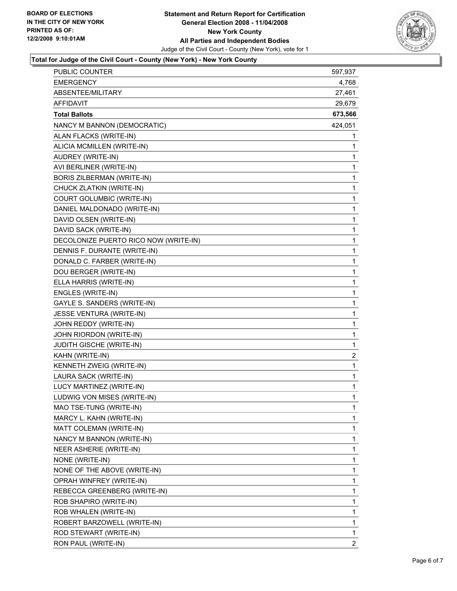

## **Total for Judge of the Civil Court - County (New York) - New York County**

| PUBLIC COUNTER                        | 597,937                 |
|---------------------------------------|-------------------------|
| <b>EMERGENCY</b>                      | 4,768                   |
| ABSENTEE/MILITARY                     | 27,461                  |
| <b>AFFIDAVIT</b>                      | 29,679                  |
| <b>Total Ballots</b>                  | 673,566                 |
| NANCY M BANNON (DEMOCRATIC)           | 424,051                 |
| ALAN FLACKS (WRITE-IN)                | 1                       |
| ALICIA MCMILLEN (WRITE-IN)            | 1                       |
| AUDREY (WRITE-IN)                     | 1                       |
| AVI BERLINER (WRITE-IN)               | 1                       |
| BORIS ZILBERMAN (WRITE-IN)            | 1                       |
| CHUCK ZLATKIN (WRITE-IN)              | 1                       |
| COURT GOLUMBIC (WRITE-IN)             | 1                       |
| DANIEL MALDONADO (WRITE-IN)           | 1                       |
| DAVID OLSEN (WRITE-IN)                | 1                       |
| DAVID SACK (WRITE-IN)                 | 1                       |
| DECOLONIZE PUERTO RICO NOW (WRITE-IN) | 1                       |
| DENNIS F. DURANTE (WRITE-IN)          | 1                       |
| DONALD C. FARBER (WRITE-IN)           | 1                       |
| DOU BERGER (WRITE-IN)                 | 1                       |
| ELLA HARRIS (WRITE-IN)                | 1                       |
| ENGLES (WRITE-IN)                     | 1                       |
| GAYLE S. SANDERS (WRITE-IN)           | 1                       |
| <b>JESSE VENTURA (WRITE-IN)</b>       | 1                       |
| JOHN REDDY (WRITE-IN)                 | 1                       |
| JOHN RIORDON (WRITE-IN)               | 1                       |
| <b>JUDITH GISCHE (WRITE-IN)</b>       | 1                       |
| KAHN (WRITE-IN)                       | $\overline{\mathbf{c}}$ |
| KENNETH ZWEIG (WRITE-IN)              | $\mathbf 1$             |
| LAURA SACK (WRITE-IN)                 | 1                       |
| LUCY MARTINEZ (WRITE-IN)              | 1                       |
| LUDWIG VON MISES (WRITE-IN)           | 1                       |
| MAO TSE-TUNG (WRITE-IN)               | 1                       |
| MARCY L. KAHN (WRITE-IN)              | 1                       |
| MATT COLEMAN (WRITE-IN)               | 1                       |
| NANCY M BANNON (WRITE-IN)             | 1                       |
| NEER ASHERIE (WRITE-IN)               | 1                       |
| NONE (WRITE-IN)                       | 1                       |
| NONE OF THE ABOVE (WRITE-IN)          | 1                       |
| OPRAH WINFREY (WRITE-IN)              | 1                       |
| REBECCA GREENBERG (WRITE-IN)          | 1                       |
| ROB SHAPIRO (WRITE-IN)                | 1                       |
| ROB WHALEN (WRITE-IN)                 | 1                       |
| ROBERT BARZOWELL (WRITE-IN)           | 1                       |
| ROD STEWART (WRITE-IN)                | 1                       |
| RON PAUL (WRITE-IN)                   | $\overline{\mathbf{c}}$ |
|                                       |                         |